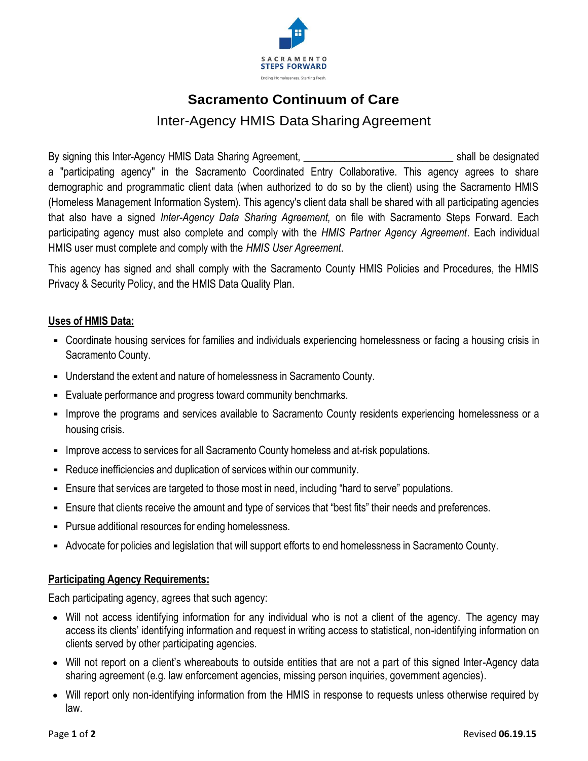

# **Sacramento Continuum of Care** Inter-Agency HMIS Data Sharing Agreement

By signing this Inter-Agency HMIS Data Sharing Agreement, \_\_\_\_\_\_\_\_\_\_\_\_\_\_\_\_\_\_\_\_\_\_\_\_\_\_\_\_\_ shall be designated a "participating agency" in the Sacramento Coordinated Entry Collaborative. This agency agrees to share demographic and programmatic client data (when authorized to do so by the client) using the Sacramento HMIS (Homeless Management Information System). This agency's client data shall be shared with all participating agencies that also have a signed *Inter-Agency Data Sharing Agreement,* on file with Sacramento Steps Forward. Each participating agency must also complete and comply with the *HMIS Partner Agency Agreement*. Each individual HMIS user must complete and comply with the *HMIS User Agreement*.

This agency has signed and shall comply with the Sacramento County HMIS Policies and Procedures, the HMIS Privacy & Security Policy, and the HMIS Data Quality Plan.

## **Uses of HMIS Data:**

- Coordinate housing services for families and individuals experiencing homelessness or facing a housing crisis in Sacramento County.
- Understand the extent and nature of homelessness in Sacramento County.
- Evaluate performance and progress toward community benchmarks.
- Improve the programs and services available to Sacramento County residents experiencing homelessness or a housing crisis.
- Improve access to services for all Sacramento County homeless and at-risk populations.
- Reduce inefficiencies and duplication of services within our community.
- Ensure that services are targeted to those most in need, including "hard to serve" populations.
- Ensure that clients receive the amount and type of services that "best fits" their needs and preferences.
- Pursue additional resources for ending homelessness.
- Advocate for policies and legislation that will support efforts to end homelessness in Sacramento County.

#### **Participating Agency Requirements:**

Each participating agency, agrees that such agency:

- Will not access identifying information for any individual who is not a client of the agency. The agency may access its clients' identifying information and request in writing access to statistical, non-identifying information on clients served by other participating agencies.
- Will not report on a client's whereabouts to outside entities that are not a part of this signed Inter-Agency data sharing agreement (e.g. law enforcement agencies, missing person inquiries, government agencies).
- Will report only non-identifying information from the HMIS in response to requests unless otherwise required by law.